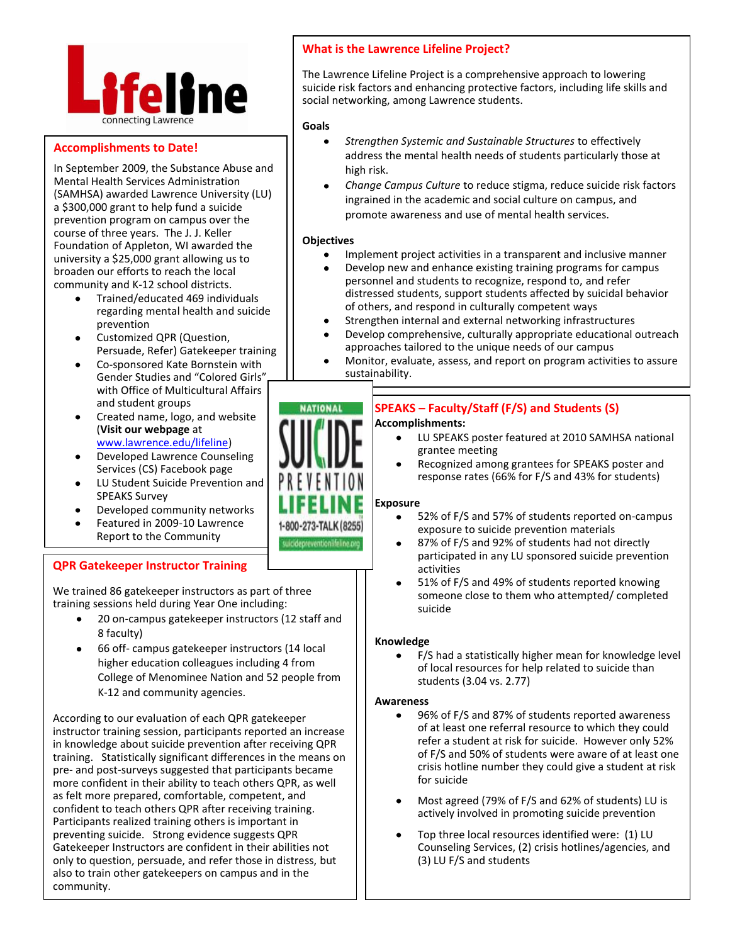

# **Accomplishments to Date!**

In September 2009, the Substance Abuse and Mental Health Services Administration (SAMHSA) awarded Lawrence University (LU) a \$300,000 grant to help fund a suicide prevention program on campus over the course of three years. The J. J. Keller Foundation of Appleton, WI awarded the university a \$25,000 grant allowing us to broaden our efforts to reach the local community and K-12 school districts.

- Trained/educated 469 individuals regarding mental health and suicide prevention
- Customized QPR (Question, Persuade, Refer) Gatekeeper training
- Co-sponsored Kate Bornstein with Gender Studies and "Colored Girls" with Office of Multicultural Affairs and student groups
- Created name, logo, and website  $\bullet$ (**Visit our webpage** at [www.lawrence.edu/lifeline\)](http://www.lawrence.edu/lifeline)
- Developed Lawrence Counseling Services (CS) Facebook page
- LU Student Suicide Prevention and  $\bullet$ SPEAKS Survey
- Developed community networks
- Featured in 2009-10 Lawrence Report to the Community

## **QPR Gatekeeper Instructor Training**

We trained 86 gatekeeper instructors as part of three training sessions held during Year One including:

- 20 on-campus gatekeeper instructors (12 staff and  $\bullet$ 8 faculty)
- 66 off- campus gatekeeper instructors (14 local higher education colleagues including 4 from College of Menominee Nation and 52 people from K-12 and community agencies.

According to our evaluation of each QPR gatekeeper instructor training session, participants reported an increase in knowledge about suicide prevention after receiving QPR training. Statistically significant differences in the means on pre- and post-surveys suggested that participants became more confident in their ability to teach others QPR, as well as felt more prepared, comfortable, competent, and confident to teach others QPR after receiving training. Participants realized training others is important in preventing suicide. Strong evidence suggests QPR Gatekeeper Instructors are confident in their abilities not only to question, persuade, and refer those in distress, but also to train other gatekeepers on campus and in the community.

# **What is the Lawrence Lifeline Project?**

The Lawrence Lifeline Project is a comprehensive approach to lowering suicide risk factors and enhancing protective factors, including life skills and social networking, among Lawrence students.

#### **Goals**

- *Strengthen Systemic and Sustainable Structures* to effectively address the mental health needs of students particularly those at high risk.
- *Change Campus Culture* to reduce stigma, reduce suicide risk factors ingrained in the academic and social culture on campus, and promote awareness and use of mental health services.

### **Objectives**

- Implement project activities in a transparent and inclusive manner
- Develop new and enhance existing training programs for campus personnel and students to recognize, respond to, and refer distressed students, support students affected by suicidal behavior of others, and respond in culturally competent ways
- $\bullet$ Strengthen internal and external networking infrastructures
- Develop comprehensive, culturally appropriate educational outreach  $\bullet$ approaches tailored to the unique needs of our campus
- Monitor, evaluate, assess, and report on program activities to assure  $\bullet$ sustainability.

# **SPEAKS – Faculty/Staff (F/S) and Students (S) Accomplishments:**

- LU SPEAKS poster featured at 2010 SAMHSA national grantee meeting
- Recognized among grantees for SPEAKS poster and response rates (66% for F/S and 43% for students)

### **Exposure**

- 52% of F/S and 57% of students reported on-campus exposure to suicide prevention materials
- 87% of F/S and 92% of students had not directly participated in any LU sponsored suicide prevention activities
- 51% of F/S and 49% of students reported knowing someone close to them who attempted/ completed suicide

### **Knowledge**

F/S had a statistically higher mean for knowledge level of local resources for help related to suicide than students (3.04 vs. 2.77)

### **Awareness**

- 96% of F/S and 87% of students reported awareness of at least one referral resource to which they could refer a student at risk for suicide. However only 52% of F/S and 50% of students were aware of at least one crisis hotline number they could give a student at risk for suicide
- Most agreed (79% of F/S and 62% of students) LU is  $\bullet$ actively involved in promoting suicide prevention
- Top three local resources identified were: (1) LU Counseling Services, (2) crisis hotlines/agencies, and (3) LU F/S and students